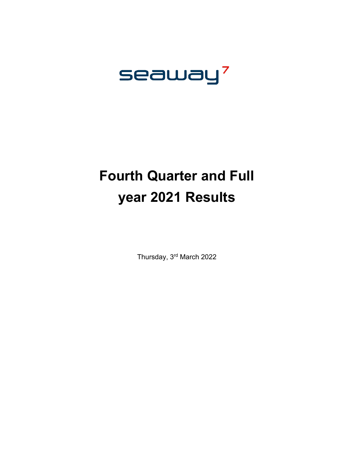# seaway<sup>7</sup>

## **Fourth Quarter and Full year 2021 Results**

Thursday, 3rd March 2022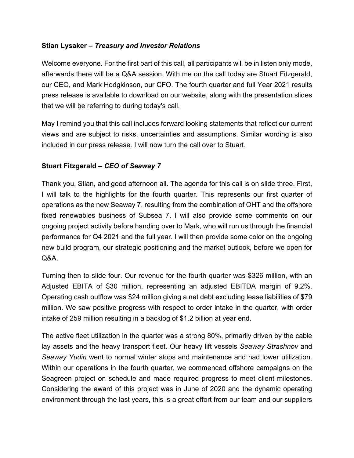#### **Stian Lysaker –** *Treasury and Investor Relations*

Welcome everyone. For the first part of this call, all participants will be in listen only mode, afterwards there will be a Q&A session. With me on the call today are Stuart Fitzgerald, our CEO, and Mark Hodgkinson, our CFO. The fourth quarter and full Year 2021 results press release is available to download on our website, along with the presentation slides that we will be referring to during today's call.

May I remind you that this call includes forward looking statements that reflect our current views and are subject to risks, uncertainties and assumptions. Similar wording is also included in our press release. I will now turn the call over to Stuart.

#### **Stuart Fitzgerald –** *CEO of Seaway 7*

Thank you, Stian, and good afternoon all. The agenda for this call is on slide three. First, I will talk to the highlights for the fourth quarter. This represents our first quarter of operations as the new Seaway 7, resulting from the combination of OHT and the offshore fixed renewables business of Subsea 7. I will also provide some comments on our ongoing project activity before handing over to Mark, who will run us through the financial performance for Q4 2021 and the full year. I will then provide some color on the ongoing new build program, our strategic positioning and the market outlook, before we open for Q&A.

Turning then to slide four. Our revenue for the fourth quarter was \$326 million, with an Adjusted EBITA of \$30 million, representing an adjusted EBITDA margin of 9.2%. Operating cash outflow was \$24 million giving a net debt excluding lease liabilities of \$79 million. We saw positive progress with respect to order intake in the quarter, with order intake of 259 million resulting in a backlog of \$1.2 billion at year end.

The active fleet utilization in the quarter was a strong 80%, primarily driven by the cable lay assets and the heavy transport fleet. Our heavy lift vessels *Seaway Strashnov* and *Seaway Yudin* went to normal winter stops and maintenance and had lower utilization. Within our operations in the fourth quarter, we commenced offshore campaigns on the Seagreen project on schedule and made required progress to meet client milestones. Considering the award of this project was in June of 2020 and the dynamic operating environment through the last years, this is a great effort from our team and our suppliers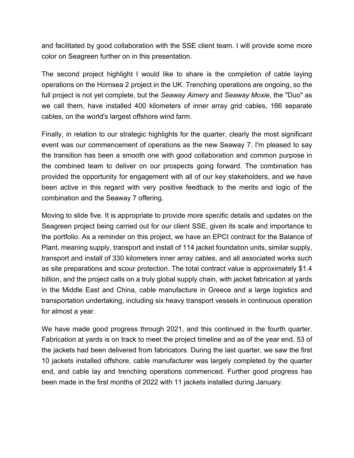and facilitated by good collaboration with the SSE client team. I will provide some more color on Seagreen further on in this presentation.

The second project highlight I would like to share is the completion of cable laying operations on the Hornsea 2 project in the UK. Trenching operations are ongoing, so the full project is not yet complete, but the *Seaway Aimery* and *Seaway Moxie*, the "Duo" as we call them, have installed 400 kilometers of inner array grid cables, 166 separate cables, on the world's largest offshore wind farm.

Finally, in relation to our strategic highlights for the quarter, clearly the most significant event was our commencement of operations as the new Seaway 7. I'm pleased to say the transition has been a smooth one with good collaboration and common purpose in the combined team to deliver on our prospects going forward. The combination has provided the opportunity for engagement with all of our key stakeholders, and we have been active in this regard with very positive feedback to the merits and logic of the combination and the Seaway 7 offering.

Moving to slide five. It is appropriate to provide more specific details and updates on the Seagreen project being carried out for our client SSE, given its scale and importance to the portfolio. As a reminder on this project, we have an EPCI contract for the Balance of Plant, meaning supply, transport and install of 114 jacket foundation units, similar supply, transport and install of 330 kilometers inner array cables, and all associated works such as site preparations and scour protection. The total contract value is approximately \$1.4 billion, and the project calls on a truly global supply chain, with jacket fabrication at yards in the Middle East and China, cable manufacture in Greece and a large logistics and transportation undertaking, including six heavy transport vessels in continuous operation for almost a year.

We have made good progress through 2021, and this continued in the fourth quarter. Fabrication at yards is on track to meet the project timeline and as of the year end, 53 of the jackets had been delivered from fabricators. During the last quarter, we saw the first 10 jackets installed offshore, cable manufacturer was largely completed by the quarter end, and cable lay and trenching operations commenced. Further good progress has been made in the first months of 2022 with 11 jackets installed during January.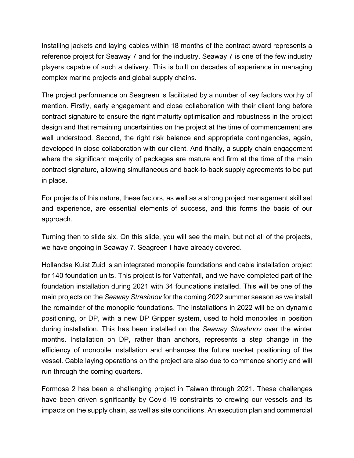Installing jackets and laying cables within 18 months of the contract award represents a reference project for Seaway 7 and for the industry. Seaway 7 is one of the few industry players capable of such a delivery. This is built on decades of experience in managing complex marine projects and global supply chains.

The project performance on Seagreen is facilitated by a number of key factors worthy of mention. Firstly, early engagement and close collaboration with their client long before contract signature to ensure the right maturity optimisation and robustness in the project design and that remaining uncertainties on the project at the time of commencement are well understood. Second, the right risk balance and appropriate contingencies, again, developed in close collaboration with our client. And finally, a supply chain engagement where the significant majority of packages are mature and firm at the time of the main contract signature, allowing simultaneous and back-to-back supply agreements to be put in place.

For projects of this nature, these factors, as well as a strong project management skill set and experience, are essential elements of success, and this forms the basis of our approach.

Turning then to slide six. On this slide, you will see the main, but not all of the projects, we have ongoing in Seaway 7. Seagreen I have already covered.

Hollandse Kuist Zuid is an integrated monopile foundations and cable installation project for 140 foundation units. This project is for Vattenfall, and we have completed part of the foundation installation during 2021 with 34 foundations installed. This will be one of the main projects on the *Seaway Strashnov* for the coming 2022 summer season as we install the remainder of the monopile foundations. The installations in 2022 will be on dynamic positioning, or DP, with a new DP Gripper system, used to hold monopiles in position during installation. This has been installed on the *Seaway Strashnov* over the winter months. Installation on DP, rather than anchors, represents a step change in the efficiency of monopile installation and enhances the future market positioning of the vessel. Cable laying operations on the project are also due to commence shortly and will run through the coming quarters.

Formosa 2 has been a challenging project in Taiwan through 2021. These challenges have been driven significantly by Covid-19 constraints to crewing our vessels and its impacts on the supply chain, as well as site conditions. An execution plan and commercial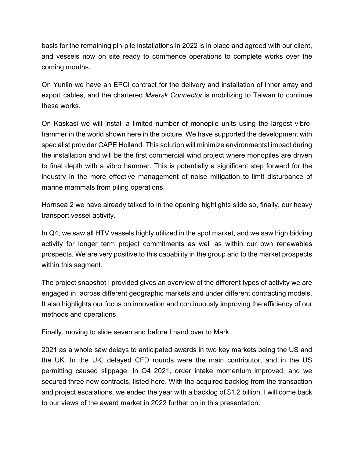basis for the remaining pin-pile installations in 2022 is in place and agreed with our client, and vessels now on site ready to commence operations to complete works over the coming months.

On Yunlin we have an EPCI contract for the delivery and installation of inner array and export cables, and the chartered *Maersk Connector* is mobilizing to Taiwan to continue these works.

On Kaskasi we will install a limited number of monopile units using the largest vibrohammer in the world shown here in the picture. We have supported the development with specialist provider CAPE Holland. This solution will minimize environmental impact during the installation and will be the first commercial wind project where monopiles are driven to final depth with a vibro hammer. This is potentially a significant step forward for the industry in the more effective management of noise mitigation to limit disturbance of marine mammals from piling operations.

Hornsea 2 we have already talked to in the opening highlights slide so, finally, our heavy transport vessel activity.

In Q4, we saw all HTV vessels highly utilized in the spot market, and we saw high bidding activity for longer term project commitments as well as within our own renewables prospects. We are very positive to this capability in the group and to the market prospects within this segment.

The project snapshot I provided gives an overview of the different types of activity we are engaged in, across different geographic markets and under different contracting models. It also highlights our focus on innovation and continuously improving the efficiency of our methods and operations.

Finally, moving to slide seven and before I hand over to Mark.

2021 as a whole saw delays to anticipated awards in two key markets being the US and the UK. In the UK, delayed CFD rounds were the main contributor, and in the US permitting caused slippage. In Q4 2021, order intake momentum improved, and we secured three new contracts, listed here. With the acquired backlog from the transaction and project escalations, we ended the year with a backlog of \$1.2 billion. I will come back to our views of the award market in 2022 further on in this presentation.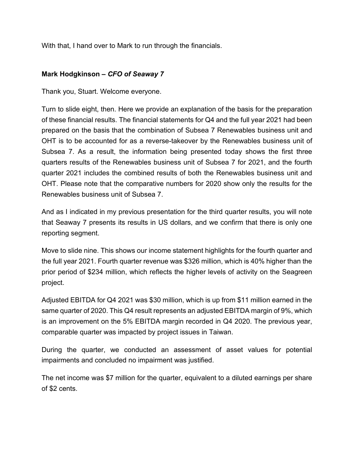With that, I hand over to Mark to run through the financials.

### **Mark Hodgkinson –** *CFO of Seaway 7*

Thank you, Stuart. Welcome everyone.

Turn to slide eight, then. Here we provide an explanation of the basis for the preparation of these financial results. The financial statements for Q4 and the full year 2021 had been prepared on the basis that the combination of Subsea 7 Renewables business unit and OHT is to be accounted for as a reverse-takeover by the Renewables business unit of Subsea 7. As a result, the information being presented today shows the first three quarters results of the Renewables business unit of Subsea 7 for 2021, and the fourth quarter 2021 includes the combined results of both the Renewables business unit and OHT. Please note that the comparative numbers for 2020 show only the results for the Renewables business unit of Subsea 7.

And as I indicated in my previous presentation for the third quarter results, you will note that Seaway 7 presents its results in US dollars, and we confirm that there is only one reporting segment.

Move to slide nine. This shows our income statement highlights for the fourth quarter and the full year 2021. Fourth quarter revenue was \$326 million, which is 40% higher than the prior period of \$234 million, which reflects the higher levels of activity on the Seagreen project.

Adjusted EBITDA for Q4 2021 was \$30 million, which is up from \$11 million earned in the same quarter of 2020. This Q4 result represents an adjusted EBITDA margin of 9%, which is an improvement on the 5% EBITDA margin recorded in Q4 2020. The previous year, comparable quarter was impacted by project issues in Taiwan.

During the quarter, we conducted an assessment of asset values for potential impairments and concluded no impairment was justified.

The net income was \$7 million for the quarter, equivalent to a diluted earnings per share of \$2 cents.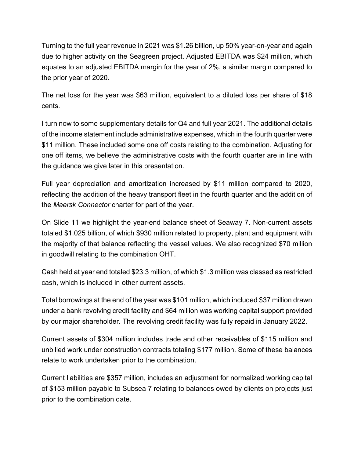Turning to the full year revenue in 2021 was \$1.26 billion, up 50% year-on-year and again due to higher activity on the Seagreen project. Adjusted EBITDA was \$24 million, which equates to an adjusted EBITDA margin for the year of 2%, a similar margin compared to the prior year of 2020.

The net loss for the year was \$63 million, equivalent to a diluted loss per share of \$18 cents.

I turn now to some supplementary details for Q4 and full year 2021. The additional details of the income statement include administrative expenses, which in the fourth quarter were \$11 million. These included some one off costs relating to the combination. Adjusting for one off items, we believe the administrative costs with the fourth quarter are in line with the guidance we give later in this presentation.

Full year depreciation and amortization increased by \$11 million compared to 2020, reflecting the addition of the heavy transport fleet in the fourth quarter and the addition of the *Maersk Connector* charter for part of the year.

On Slide 11 we highlight the year-end balance sheet of Seaway 7. Non-current assets totaled \$1.025 billion, of which \$930 million related to property, plant and equipment with the majority of that balance reflecting the vessel values. We also recognized \$70 million in goodwill relating to the combination OHT.

Cash held at year end totaled \$23.3 million, of which \$1.3 million was classed as restricted cash, which is included in other current assets.

Total borrowings at the end of the year was \$101 million, which included \$37 million drawn under a bank revolving credit facility and \$64 million was working capital support provided by our major shareholder. The revolving credit facility was fully repaid in January 2022.

Current assets of \$304 million includes trade and other receivables of \$115 million and unbilled work under construction contracts totaling \$177 million. Some of these balances relate to work undertaken prior to the combination.

Current liabilities are \$357 million, includes an adjustment for normalized working capital of \$153 million payable to Subsea 7 relating to balances owed by clients on projects just prior to the combination date.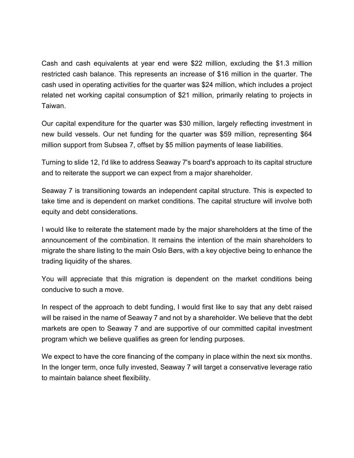Cash and cash equivalents at year end were \$22 million, excluding the \$1.3 million restricted cash balance. This represents an increase of \$16 million in the quarter. The cash used in operating activities for the quarter was \$24 million, which includes a project related net working capital consumption of \$21 million, primarily relating to projects in Taiwan.

Our capital expenditure for the quarter was \$30 million, largely reflecting investment in new build vessels. Our net funding for the quarter was \$59 million, representing \$64 million support from Subsea 7, offset by \$5 million payments of lease liabilities.

Turning to slide 12, I'd like to address Seaway 7's board's approach to its capital structure and to reiterate the support we can expect from a major shareholder.

Seaway 7 is transitioning towards an independent capital structure. This is expected to take time and is dependent on market conditions. The capital structure will involve both equity and debt considerations.

I would like to reiterate the statement made by the major shareholders at the time of the announcement of the combination. It remains the intention of the main shareholders to migrate the share listing to the main Oslo Børs, with a key objective being to enhance the trading liquidity of the shares.

You will appreciate that this migration is dependent on the market conditions being conducive to such a move.

In respect of the approach to debt funding, I would first like to say that any debt raised will be raised in the name of Seaway 7 and not by a shareholder. We believe that the debt markets are open to Seaway 7 and are supportive of our committed capital investment program which we believe qualifies as green for lending purposes.

We expect to have the core financing of the company in place within the next six months. In the longer term, once fully invested, Seaway 7 will target a conservative leverage ratio to maintain balance sheet flexibility.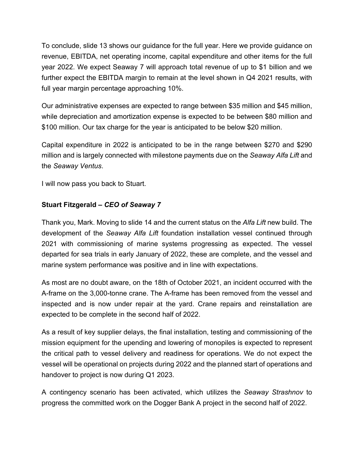To conclude, slide 13 shows our guidance for the full year. Here we provide guidance on revenue, EBITDA, net operating income, capital expenditure and other items for the full year 2022. We expect Seaway 7 will approach total revenue of up to \$1 billion and we further expect the EBITDA margin to remain at the level shown in Q4 2021 results, with full year margin percentage approaching 10%.

Our administrative expenses are expected to range between \$35 million and \$45 million, while depreciation and amortization expense is expected to be between \$80 million and \$100 million. Our tax charge for the year is anticipated to be below \$20 million.

Capital expenditure in 2022 is anticipated to be in the range between \$270 and \$290 million and is largely connected with milestone payments due on the *Seaway Alfa Lift* and the *Seaway Ventus*.

I will now pass you back to Stuart.

#### **Stuart Fitzgerald –** *CEO of Seaway 7*

Thank you, Mark. Moving to slide 14 and the current status on the *Alfa Lift* new build. The development of the *Seaway Alfa Lift* foundation installation vessel continued through 2021 with commissioning of marine systems progressing as expected. The vessel departed for sea trials in early January of 2022, these are complete, and the vessel and marine system performance was positive and in line with expectations.

As most are no doubt aware, on the 18th of October 2021, an incident occurred with the A-frame on the 3,000-tonne crane. The A-frame has been removed from the vessel and inspected and is now under repair at the yard. Crane repairs and reinstallation are expected to be complete in the second half of 2022.

As a result of key supplier delays, the final installation, testing and commissioning of the mission equipment for the upending and lowering of monopiles is expected to represent the critical path to vessel delivery and readiness for operations. We do not expect the vessel will be operational on projects during 2022 and the planned start of operations and handover to project is now during Q1 2023.

A contingency scenario has been activated, which utilizes the *Seaway Strashnov* to progress the committed work on the Dogger Bank A project in the second half of 2022.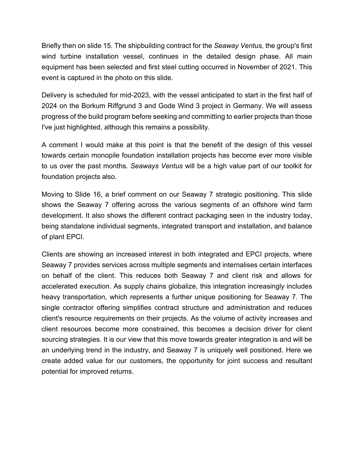Briefly then on slide 15. The shipbuilding contract for the *Seaway Ventus*, the group's first wind turbine installation vessel, continues in the detailed design phase. All main equipment has been selected and first steel cutting occurred in November of 2021. This event is captured in the photo on this slide.

Delivery is scheduled for mid-2023, with the vessel anticipated to start in the first half of 2024 on the Borkum Riffgrund 3 and Gode Wind 3 project in Germany. We will assess progress of the build program before seeking and committing to earlier projects than those I've just highlighted, although this remains a possibility.

A comment I would make at this point is that the benefit of the design of this vessel towards certain monopile foundation installation projects has become ever more visible to us over the past months. *Seaways Ventus* will be a high value part of our toolkit for foundation projects also.

Moving to Slide 16, a brief comment on our Seaway 7 strategic positioning. This slide shows the Seaway 7 offering across the various segments of an offshore wind farm development. It also shows the different contract packaging seen in the industry today, being standalone individual segments, integrated transport and installation, and balance of plant EPCI.

Clients are showing an increased interest in both integrated and EPCI projects, where Seaway 7 provides services across multiple segments and internalises certain interfaces on behalf of the client. This reduces both Seaway 7 and client risk and allows for accelerated execution. As supply chains globalize, this integration increasingly includes heavy transportation, which represents a further unique positioning for Seaway 7. The single contractor offering simplifies contract structure and administration and reduces client's resource requirements on their projects. As the volume of activity increases and client resources become more constrained, this becomes a decision driver for client sourcing strategies. It is our view that this move towards greater integration is and will be an underlying trend in the industry, and Seaway 7 is uniquely well positioned. Here we create added value for our customers, the opportunity for joint success and resultant potential for improved returns.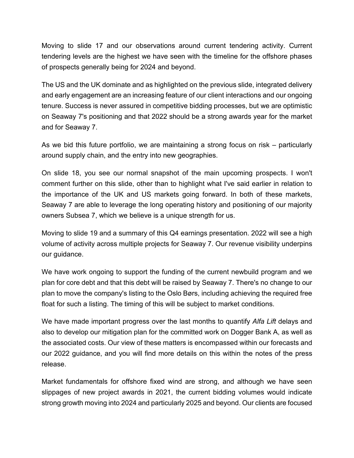Moving to slide 17 and our observations around current tendering activity. Current tendering levels are the highest we have seen with the timeline for the offshore phases of prospects generally being for 2024 and beyond.

The US and the UK dominate and as highlighted on the previous slide, integrated delivery and early engagement are an increasing feature of our client interactions and our ongoing tenure. Success is never assured in competitive bidding processes, but we are optimistic on Seaway 7's positioning and that 2022 should be a strong awards year for the market and for Seaway 7.

As we bid this future portfolio, we are maintaining a strong focus on risk – particularly around supply chain, and the entry into new geographies.

On slide 18, you see our normal snapshot of the main upcoming prospects. I won't comment further on this slide, other than to highlight what I've said earlier in relation to the importance of the UK and US markets going forward. In both of these markets, Seaway 7 are able to leverage the long operating history and positioning of our majority owners Subsea 7, which we believe is a unique strength for us.

Moving to slide 19 and a summary of this Q4 earnings presentation. 2022 will see a high volume of activity across multiple projects for Seaway 7. Our revenue visibility underpins our guidance.

We have work ongoing to support the funding of the current newbuild program and we plan for core debt and that this debt will be raised by Seaway 7. There's no change to our plan to move the company's listing to the Oslo Børs, including achieving the required free float for such a listing. The timing of this will be subject to market conditions.

We have made important progress over the last months to quantify *Alfa Lift* delays and also to develop our mitigation plan for the committed work on Dogger Bank A, as well as the associated costs. Our view of these matters is encompassed within our forecasts and our 2022 guidance, and you will find more details on this within the notes of the press release.

Market fundamentals for offshore fixed wind are strong, and although we have seen slippages of new project awards in 2021, the current bidding volumes would indicate strong growth moving into 2024 and particularly 2025 and beyond. Our clients are focused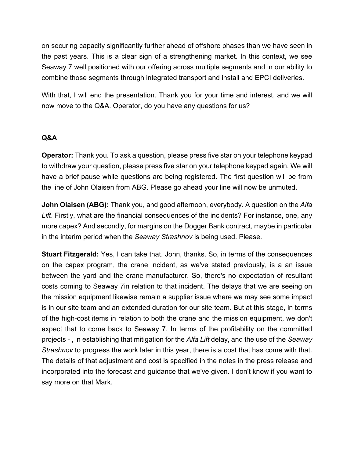on securing capacity significantly further ahead of offshore phases than we have seen in the past years. This is a clear sign of a strengthening market. In this context, we see Seaway 7 well positioned with our offering across multiple segments and in our ability to combine those segments through integrated transport and install and EPCI deliveries.

With that, I will end the presentation. Thank you for your time and interest, and we will now move to the Q&A. Operator, do you have any questions for us?

#### **Q&A**

**Operator:** Thank you. To ask a question, please press five star on your telephone keypad to withdraw your question, please press five star on your telephone keypad again. We will have a brief pause while questions are being registered. The first question will be from the line of John Olaisen from ABG. Please go ahead your line will now be unmuted.

**John Olaisen (ABG):** Thank you, and good afternoon, everybody. A question on the *Alfa Lift*. Firstly, what are the financial consequences of the incidents? For instance, one, any more capex? And secondly, for margins on the Dogger Bank contract, maybe in particular in the interim period when the *Seaway Strashnov* is being used. Please.

**Stuart Fitzgerald:** Yes, I can take that. John, thanks. So, in terms of the consequences on the capex program, the crane incident, as we've stated previously, is a an issue between the yard and the crane manufacturer. So, there's no expectation of resultant costs coming to Seaway 7in relation to that incident. The delays that we are seeing on the mission equipment likewise remain a supplier issue where we may see some impact is in our site team and an extended duration for our site team. But at this stage, in terms of the high-cost items in relation to both the crane and the mission equipment, we don't expect that to come back to Seaway 7. In terms of the profitability on the committed projects - , in establishing that mitigation for the *Alfa Lift* delay, and the use of the *Seaway Strashnov* to progress the work later in this year, there is a cost that has come with that. The details of that adjustment and cost is specified in the notes in the press release and incorporated into the forecast and guidance that we've given. I don't know if you want to say more on that Mark.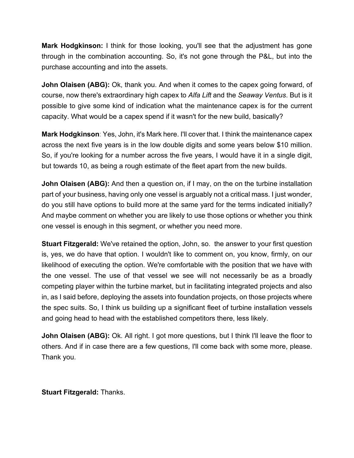**Mark Hodgkinson:** I think for those looking, you'll see that the adjustment has gone through in the combination accounting. So, it's not gone through the P&L, but into the purchase accounting and into the assets.

**John Olaisen (ABG):** Ok, thank you. And when it comes to the capex going forward, of course, now there's extraordinary high capex to *Alfa Lift* and the *Seaway Ventus*. But is it possible to give some kind of indication what the maintenance capex is for the current capacity. What would be a capex spend if it wasn't for the new build, basically?

**Mark Hodgkinson**: Yes, John, it's Mark here. I'll cover that. I think the maintenance capex across the next five years is in the low double digits and some years below \$10 million. So, if you're looking for a number across the five years, I would have it in a single digit, but towards 10, as being a rough estimate of the fleet apart from the new builds.

**John Olaisen (ABG):** And then a question on, if I may, on the on the turbine installation part of your business, having only one vessel is arguably not a critical mass. I just wonder, do you still have options to build more at the same yard for the terms indicated initially? And maybe comment on whether you are likely to use those options or whether you think one vessel is enough in this segment, or whether you need more.

**Stuart Fitzgerald:** We've retained the option, John, so. the answer to your first question is, yes, we do have that option. I wouldn't like to comment on, you know, firmly, on our likelihood of executing the option. We're comfortable with the position that we have with the one vessel. The use of that vessel we see will not necessarily be as a broadly competing player within the turbine market, but in facilitating integrated projects and also in, as I said before, deploying the assets into foundation projects, on those projects where the spec suits. So, I think us building up a significant fleet of turbine installation vessels and going head to head with the established competitors there, less likely.

**John Olaisen (ABG):** Ok. All right. I got more questions, but I think I'll leave the floor to others. And if in case there are a few questions, I'll come back with some more, please. Thank you.

**Stuart Fitzgerald:** Thanks.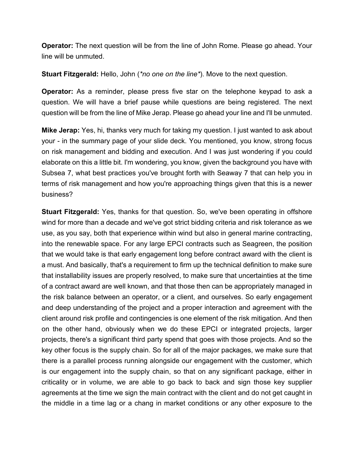**Operator:** The next question will be from the line of John Rome. Please go ahead. Your line will be unmuted.

**Stuart Fitzgerald:** Hello, John (*\*no one on the line\**). Move to the next question.

**Operator:** As a reminder, please press five star on the telephone keypad to ask a question. We will have a brief pause while questions are being registered. The next question will be from the line of Mike Jerap. Please go ahead your line and I'll be unmuted.

**Mike Jerap:** Yes, hi, thanks very much for taking my question. I just wanted to ask about your - in the summary page of your slide deck. You mentioned, you know, strong focus on risk management and bidding and execution. And I was just wondering if you could elaborate on this a little bit. I'm wondering, you know, given the background you have with Subsea 7, what best practices you've brought forth with Seaway 7 that can help you in terms of risk management and how you're approaching things given that this is a newer business?

**Stuart Fitzgerald:** Yes, thanks for that question. So, we've been operating in offshore wind for more than a decade and we've got strict bidding criteria and risk tolerance as we use, as you say, both that experience within wind but also in general marine contracting, into the renewable space. For any large EPCI contracts such as Seagreen, the position that we would take is that early engagement long before contract award with the client is a must. And basically, that's a requirement to firm up the technical definition to make sure that installability issues are properly resolved, to make sure that uncertainties at the time of a contract award are well known, and that those then can be appropriately managed in the risk balance between an operator, or a client, and ourselves. So early engagement and deep understanding of the project and a proper interaction and agreement with the client around risk profile and contingencies is one element of the risk mitigation. And then on the other hand, obviously when we do these EPCI or integrated projects, larger projects, there's a significant third party spend that goes with those projects. And so the key other focus is the supply chain. So for all of the major packages, we make sure that there is a parallel process running alongside our engagement with the customer, which is our engagement into the supply chain, so that on any significant package, either in criticality or in volume, we are able to go back to back and sign those key supplier agreements at the time we sign the main contract with the client and do not get caught in the middle in a time lag or a chang in market conditions or any other exposure to the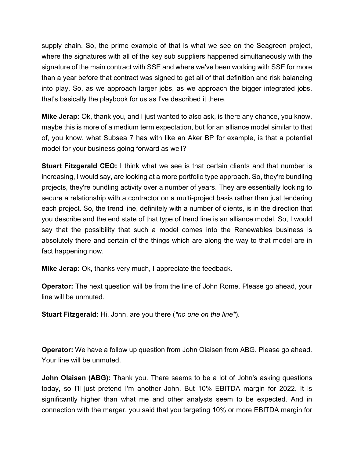supply chain. So, the prime example of that is what we see on the Seagreen project, where the signatures with all of the key sub suppliers happened simultaneously with the signature of the main contract with SSE and where we've been working with SSE for more than a year before that contract was signed to get all of that definition and risk balancing into play. So, as we approach larger jobs, as we approach the bigger integrated jobs, that's basically the playbook for us as I've described it there.

**Mike Jerap:** Ok, thank you, and I just wanted to also ask, is there any chance, you know, maybe this is more of a medium term expectation, but for an alliance model similar to that of, you know, what Subsea 7 has with like an Aker BP for example, is that a potential model for your business going forward as well?

**Stuart Fitzgerald CEO:** I think what we see is that certain clients and that number is increasing, I would say, are looking at a more portfolio type approach. So, they're bundling projects, they're bundling activity over a number of years. They are essentially looking to secure a relationship with a contractor on a multi-project basis rather than just tendering each project. So, the trend line, definitely with a number of clients, is in the direction that you describe and the end state of that type of trend line is an alliance model. So, I would say that the possibility that such a model comes into the Renewables business is absolutely there and certain of the things which are along the way to that model are in fact happening now.

**Mike Jerap:** Ok, thanks very much, I appreciate the feedback.

**Operator:** The next question will be from the line of John Rome. Please go ahead, your line will be unmuted.

**Stuart Fitzgerald:** Hi, John, are you there (*\*no one on the line\**).

**Operator:** We have a follow up question from John Olaisen from ABG. Please go ahead. Your line will be unmuted.

**John Olaisen (ABG):** Thank you. There seems to be a lot of John's asking questions today, so I'll just pretend I'm another John. But 10% EBITDA margin for 2022. It is significantly higher than what me and other analysts seem to be expected. And in connection with the merger, you said that you targeting 10% or more EBITDA margin for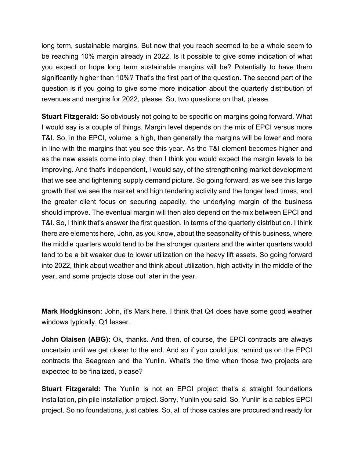long term, sustainable margins. But now that you reach seemed to be a whole seem to be reaching 10% margin already in 2022. Is it possible to give some indication of what you expect or hope long term sustainable margins will be? Potentially to have them significantly higher than 10%? That's the first part of the question. The second part of the question is if you going to give some more indication about the quarterly distribution of revenues and margins for 2022, please. So, two questions on that, please.

**Stuart Fitzgerald:** So obviously not going to be specific on margins going forward. What I would say is a couple of things. Margin level depends on the mix of EPCI versus more T&I. So, in the EPCI, volume is high, then generally the margins will be lower and more in line with the margins that you see this year. As the T&I element becomes higher and as the new assets come into play, then I think you would expect the margin levels to be improving. And that's independent, I would say, of the strengthening market development that we see and tightening supply demand picture. So going forward, as we see this large growth that we see the market and high tendering activity and the longer lead times, and the greater client focus on securing capacity, the underlying margin of the business should improve. The eventual margin will then also depend on the mix between EPCI and T&I. So, I think that's answer the first question. In terms of the quarterly distribution. I think there are elements here, John, as you know, about the seasonality of this business, where the middle quarters would tend to be the stronger quarters and the winter quarters would tend to be a bit weaker due to lower utilization on the heavy lift assets. So going forward into 2022, think about weather and think about utilization, high activity in the middle of the year, and some projects close out later in the year.

**Mark Hodgkinson:** John, it's Mark here. I think that Q4 does have some good weather windows typically, Q1 lesser.

**John Olaisen (ABG):** Ok, thanks. And then, of course, the EPCI contracts are always uncertain until we get closer to the end. And so if you could just remind us on the EPCI contracts the Seagreen and the Yunlin. What's the time when those two projects are expected to be finalized, please?

**Stuart Fitzgerald:** The Yunlin is not an EPCI project that's a straight foundations installation, pin pile installation project. Sorry, Yunlin you said. So, Yunlin is a cables EPCI project. So no foundations, just cables. So, all of those cables are procured and ready for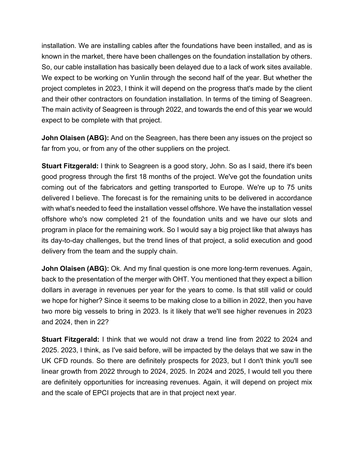installation. We are installing cables after the foundations have been installed, and as is known in the market, there have been challenges on the foundation installation by others. So, our cable installation has basically been delayed due to a lack of work sites available. We expect to be working on Yunlin through the second half of the year. But whether the project completes in 2023, I think it will depend on the progress that's made by the client and their other contractors on foundation installation. In terms of the timing of Seagreen. The main activity of Seagreen is through 2022, and towards the end of this year we would expect to be complete with that project.

**John Olaisen (ABG):** And on the Seagreen, has there been any issues on the project so far from you, or from any of the other suppliers on the project.

**Stuart Fitzgerald:** I think to Seagreen is a good story, John. So as I said, there it's been good progress through the first 18 months of the project. We've got the foundation units coming out of the fabricators and getting transported to Europe. We're up to 75 units delivered I believe. The forecast is for the remaining units to be delivered in accordance with what's needed to feed the installation vessel offshore. We have the installation vessel offshore who's now completed 21 of the foundation units and we have our slots and program in place for the remaining work. So I would say a big project like that always has its day-to-day challenges, but the trend lines of that project, a solid execution and good delivery from the team and the supply chain.

**John Olaisen (ABG):** Ok. And my final question is one more long-term revenues. Again, back to the presentation of the merger with OHT. You mentioned that they expect a billion dollars in average in revenues per year for the years to come. Is that still valid or could we hope for higher? Since it seems to be making close to a billion in 2022, then you have two more big vessels to bring in 2023. Is it likely that we'll see higher revenues in 2023 and 2024, then in 22?

**Stuart Fitzgerald:** I think that we would not draw a trend line from 2022 to 2024 and 2025. 2023, I think, as I've said before, will be impacted by the delays that we saw in the UK CFD rounds. So there are definitely prospects for 2023, but I don't think you'll see linear growth from 2022 through to 2024, 2025. In 2024 and 2025, I would tell you there are definitely opportunities for increasing revenues. Again, it will depend on project mix and the scale of EPCI projects that are in that project next year.